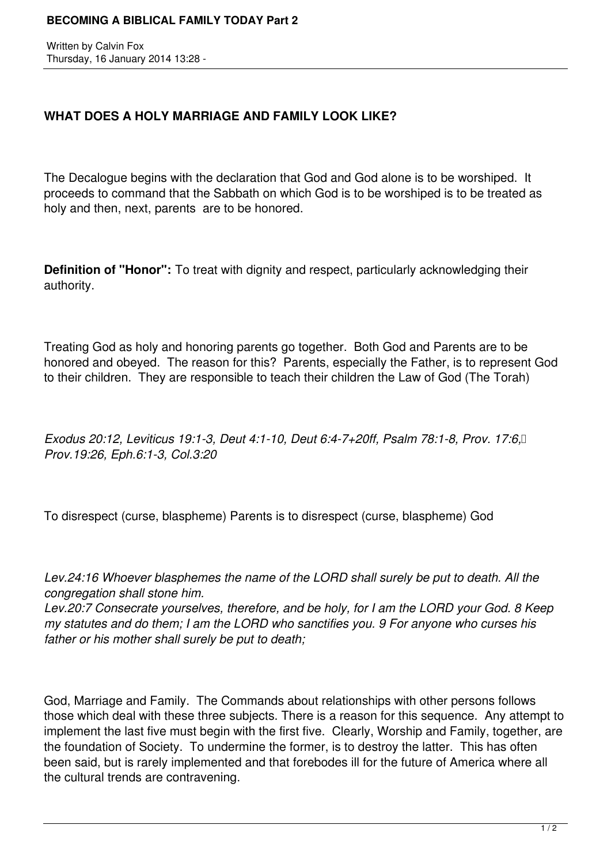## **BECOMING A BIBLICAL FAMILY TODAY Part 2**

Written by Calvin Fox Thursday, 16 January 2014 13:28 -

## **WHAT DOES A HOLY MARRIAGE AND FAMILY LOOK LIKE?**

The Decalogue begins with the declaration that God and God alone is to be worshiped. It proceeds to command that the Sabbath on which God is to be worshiped is to be treated as holy and then, next, parents are to be honored.

**Definition of "Honor":** To treat with dignity and respect, particularly acknowledging their authority.

Treating God as holy and honoring parents go together. Both God and Parents are to be honored and obeyed. The reason for this? Parents, especially the Father, is to represent God to their children. They are responsible to teach their children the Law of God (The Torah)

*Exodus 20:12, Leviticus 19:1-3, Deut 4:1-10, Deut 6:4-7+20ff, Psalm 78:1-8, Prov. 17:6, Prov.19:26, Eph.6:1-3, Col.3:20*

To disrespect (curse, blaspheme) Parents is to disrespect (curse, blaspheme) God

*Lev.24:16 Whoever blasphemes the name of the LORD shall surely be put to death. All the congregation shall stone him.* 

*Lev.20:7 Consecrate yourselves, therefore, and be holy, for I am the LORD your God. 8 Keep my statutes and do them; I am the LORD who sanctifies you. 9 For anyone who curses his father or his mother shall surely be put to death;*

God, Marriage and Family. The Commands about relationships with other persons follows those which deal with these three subjects. There is a reason for this sequence. Any attempt to implement the last five must begin with the first five. Clearly, Worship and Family, together, are the foundation of Society. To undermine the former, is to destroy the latter. This has often been said, but is rarely implemented and that forebodes ill for the future of America where all the cultural trends are contravening.